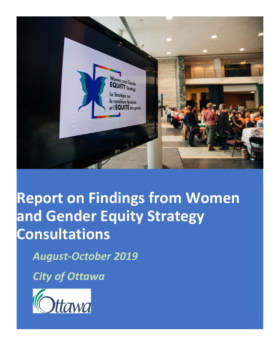

# **Report on Findings from Women and Gender Equity Strategy Consultations**

*August-October 2019*

*City of Ottawa*

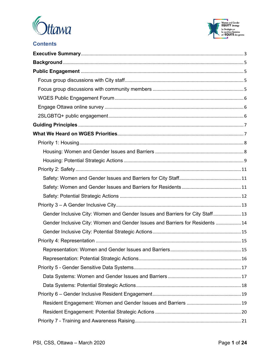



# **Contents**

| Gender Inclusive City: Women and Gender Issues and Barriers for City Staff 13 |  |
|-------------------------------------------------------------------------------|--|
| Gender Inclusive City: Women and Gender Issues and Barriers for Residents  14 |  |
|                                                                               |  |
|                                                                               |  |
|                                                                               |  |
|                                                                               |  |
|                                                                               |  |
|                                                                               |  |
|                                                                               |  |
|                                                                               |  |
|                                                                               |  |
|                                                                               |  |
|                                                                               |  |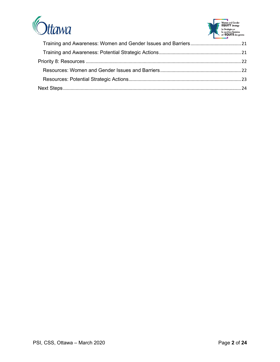

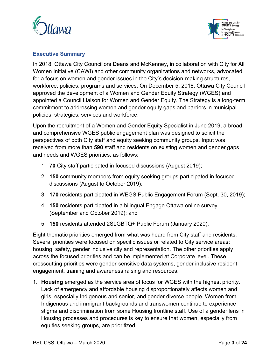



## <span id="page-3-0"></span>**Executive Summary**

In 2018, Ottawa City Councillors Deans and McKenney, in collaboration with City for All Women Initiative (CAWI) and other community organizations and networks, advocated for a focus on women and gender issues in the City's decision-making structures, workforce, policies, programs and services. On December 5, 2018, Ottawa City Council approved the development of a Women and Gender Equity Strategy (WGES) and appointed a Council Liaison for Women and Gender Equity. The Strategy is a long-term commitment to addressing women and gender equity gaps and barriers in municipal policies, strategies, services and workforce.

Upon the recruitment of a Women and Gender Equity Specialist in June 2019, a broad and comprehensive WGES public engagement plan was designed to solicit the perspectives of both City staff and equity seeking community groups. Input was received from more than **590** staff and residents on existing women and gender gaps and needs and WGES priorities, as follows:

- 1. **70** City staff participated in focused discussions (August 2019);
- 2. **150** community members from equity seeking groups participated in focused discussions (August to October 2019);
- 3. **170** residents participated in WEGS Public Engagement Forum (Sept. 30, 2019);
- 4. **150** residents participated in a bilingual Engage Ottawa online survey (September and October 2019); and
- 5. **150** residents attended 2SLGBTQ+ Public Forum (January 2020).

Eight thematic priorities emerged from what was heard from City staff and residents. Several priorities were focused on specific issues or related to City service areas: housing, safety, gender inclusive city and representation. The other priorities apply across the focused priorities and can be implemented at Corporate level. These crosscutting priorities were gender-sensitive data systems, gender inclusive resident engagement, training and awareness raising and resources.

1. **Housing** emerged as the service area of focus for WGES with the highest priority. Lack of emergency and affordable housing disproportionately affects women and girls, especially Indigenous and senior, and gender diverse people. Women from Indigenous and immigrant backgrounds and transwomen continue to experience stigma and discrimination from some Housing frontline staff. Use of a gender lens in Housing processes and procedures is key to ensure that women, especially from equities seeking groups, are prioritized.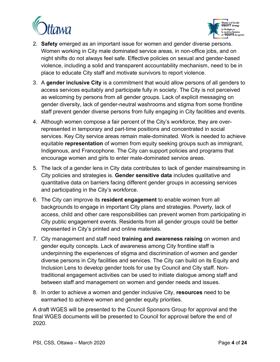



- 2. **Safety** emerged as an important issue for women and gender diverse persons. Women working in City male dominated service areas, in non-office jobs, and on night shifts do not always feel safe. Effective policies on sexual and gender-based violence, including a solid and transparent accountability mechanism, need to be in place to educate City staff and motivate survivors to report violence.
- 3. A **gender inclusive City** is a commitment that would allow persons of all genders to access services equitably and participate fully in society. The City is not perceived as welcoming by persons from all gender groups. Lack of explicit messaging on gender diversity, lack of gender-neutral washrooms and stigma from some frontline staff prevent gender diverse persons from fully engaging in City facilities and events.
- 4. Although women compose a fair percent of the City's workforce, they are overrepresented in temporary and part-time positions and concentrated in social services. Key City service areas remain male-dominated. Work is needed to achieve equitable **representation** of women from equity seeking groups such as immigrant, Indigenous, and Francophone. The City can support policies and programs that encourage women and girls to enter male-dominated service areas.
- 5. The lack of a gender lens in City data contributes to lack of gender mainstreaming in City policies and strategies is. **Gender sensitive data** includes qualitative and quantitative data on barriers facing different gender groups in accessing services and participating in the City's workforce.
- 6. The City can improve its **resident engagement** to enable women from all backgrounds to engage in important City plans and strategies. Poverty, lack of access, child and other care responsibilities can prevent women from participating in City public engagement events. Residents from all gender groups could be better represented in City's printed and online materials.
- 7. City management and staff need **training and awareness raising** on women and gender equity concepts. Lack of awareness among City frontline staff is underpinning the experiences of stigma and discrimination of women and gender diverse persons in City facilities and services. The City can build on its Equity and Inclusion Lens to develop gender tools for use by Council and City staff. Nontraditional engagement activities can be used to initiate dialogue among staff and between staff and management on women and gender needs and issues.
- 8. In order to achieve a women and gender inclusive City, **resources** need to be earmarked to achieve women and gender equity priorities.

A draft WGES will be presented to the Council Sponsors Group for approval and the final WGES documents will be presented to Council for approval before the end of 2020.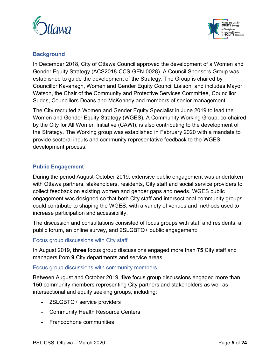



## <span id="page-5-0"></span>**Background**

In December 2018, City of Ottawa Council approved the development of a Women and Gender Equity Strategy (ACS2018-CCS-GEN-0028). A Council Sponsors Group was established to guide the development of the Strategy. The Group is chaired by Councillor Kavanagh, Women and Gender Equity Council Liaison, and includes Mayor Watson, the Chair of the Community and Protective Services Committee, Councillor Sudds, Councillors Deans and McKenney and members of senior management.

The City recruited a Women and Gender Equity Specialist in June 2019 to lead the Women and Gender Equity Strategy (WGES). A Community Working Group, co-chaired by the City for All Women Initiative (CAWI), is also contributing to the development of the Strategy. The Working group was established in February 2020 with a mandate to provide sectoral inputs and community representative feedback to the WGES development process.

## <span id="page-5-1"></span>**Public Engagement**

During the period August-October 2019, extensive public engagement was undertaken with Ottawa partners, stakeholders, residents, City staff and social service providers to collect feedback on existing women and gender gaps and needs. WGES public engagement was designed so that both City staff and intersectional community groups could contribute to shaping the WGES, with a variety of venues and methods used to increase participation and accessibility.

The discussion and consultations consisted of focus groups with staff and residents, a public forum, an online survey, and 2SLGBTQ+ public engagement:

#### <span id="page-5-2"></span>Focus group discussions with City staff

In August 2019, **three** focus group discussions engaged more than **75** City staff and managers from **9** City departments and service areas.

#### <span id="page-5-3"></span>Focus group discussions with community members

Between August and October 2019, **five** focus group discussions engaged more than **150** community members representing City partners and stakeholders as well as intersectional and equity seeking groups, including:

- 2SLGBTQ+ service providers
- Community Health Resource Centers
- Francophone communities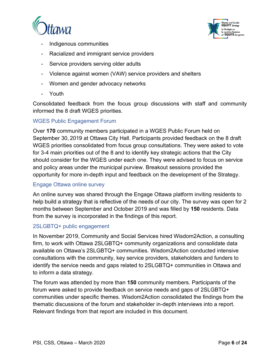



- Indigenous communities
- Racialized and immigrant service providers
- Service providers serving older adults
- Violence against women (VAW) service providers and shelters
- Women and gender advocacy networks
- Youth

Consolidated feedback from the focus group discussions with staff and community informed the 8 draft WGES priorities.

#### <span id="page-6-0"></span>WGES Public Engagement Forum

Over **170** community members participated in a WGES Public Forum held on September 30, 2019 at Ottawa City Hall. Participants provided feedback on the 8 draft WGES priorities consolidated from focus group consultations. They were asked to vote for 3-4 main priorities out of the 8 and to identify key strategic actions that the City should consider for the WGES under each one. They were advised to focus on service and policy areas under the municipal purview. Breakout sessions provided the opportunity for more in-depth input and feedback on the development of the Strategy.

#### <span id="page-6-1"></span>Engage Ottawa online survey

An online survey was shared through the Engage Ottawa platform inviting residents to help build a strategy that is reflective of the needs of our city. The survey was open for 2 months between September and October 2019 and was filled by **150** residents. Data from the survey is incorporated in the findings of this report.

#### <span id="page-6-2"></span>2SLGBTQ+ public engagement

In November 2019, Community and Social Services hired Wisdom2Action, a consulting firm, to work with Ottawa 2SLGBTQ+ community organizations and consolidate data available on Ottawa's 2SLGBTQ+ communities. Wisdom2Action conducted intensive consultations with the community, key service providers, stakeholders and funders to identify the service needs and gaps related to 2SLGBTQ+ communities in Ottawa and to inform a data strategy.

The forum was attended by more than **150** community members. Participants of the forum were asked to provide feedback on service needs and gaps of 2SLGBTQ+ communities under specific themes. Wisdom2Action consolidated the findings from the thematic discussions of the forum and stakeholder in-depth interviews into a report. Relevant findings from that report are included in this document.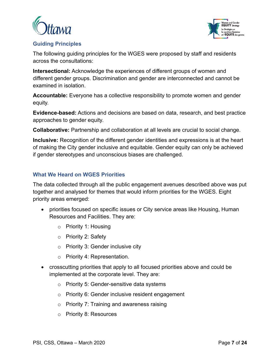



## <span id="page-7-0"></span>**Guiding Principles**

The following guiding principles for the WGES were proposed by staff and residents across the consultations:

**Intersectional:** Acknowledge the experiences of different groups of women and different gender groups. Discrimination and gender are interconnected and cannot be examined in isolation.

**Accountable:** Everyone has a collective responsibility to promote women and gender equity.

**Evidence-based:** Actions and decisions are based on data, research, and best practice approaches to gender equity.

**Collaborative:** Partnership and collaboration at all levels are crucial to social change.

**Inclusive:** Recognition of the different gender identities and expressions is at the heart of making the City gender inclusive and equitable. Gender equity can only be achieved if gender stereotypes and unconscious biases are challenged.

## <span id="page-7-1"></span>**What We Heard on WGES Priorities**

The data collected through all the public engagement avenues described above was put together and analysed for themes that would inform priorities for the WGES. Eight priority areas emerged:

- priorities focused on specific issues or City service areas like Housing, Human Resources and Facilities. They are:
	- o Priority 1: Housing
	- o Priority 2: Safety
	- o Priority 3: Gender inclusive city
	- o Priority 4: Representation.
- crosscutting priorities that apply to all focused priorities above and could be implemented at the corporate level. They are:
	- o Priority 5: Gender-sensitive data systems
	- o Priority 6: Gender inclusive resident engagement
	- $\circ$  Priority 7: Training and awareness raising
	- o Priority 8: Resources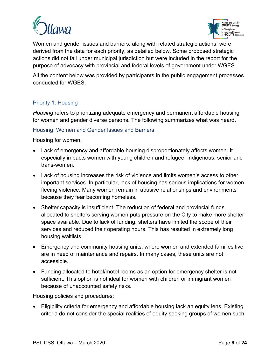



Women and gender issues and barriers, along with related strategic actions, were derived from the data for each priority, as detailed below. Some proposed strategic actions did not fall under municipal jurisdiction but were included in the report for the purpose of advocacy with provincial and federal levels of government under WGES.

All the content below was provided by participants in the public engagement processes conducted for WGES.

## <span id="page-8-0"></span>Priority 1: Housing

*Housing* refers to prioritizing adequate emergency and permanent affordable housing for women and gender diverse persons. The following summarizes what was heard.

## <span id="page-8-1"></span>Housing: Women and Gender Issues and Barriers

Housing for women:

- Lack of emergency and affordable housing disproportionately affects women. It especially impacts women with young children and refugee, Indigenous, senior and trans-women.
- Lack of housing increases the risk of violence and limits women's access to other important services. In particular, lack of housing has serious implications for women fleeing violence. Many women remain in abusive relationships and environments because they fear becoming homeless.
- Shelter capacity is insufficient. The reduction of federal and provincial funds allocated to shelters serving women puts pressure on the City to make more shelter space available. Due to lack of funding, shelters have limited the scope of their services and reduced their operating hours. This has resulted in extremely long housing waitlists.
- Emergency and community housing units, where women and extended families live, are in need of maintenance and repairs. In many cases, these units are not accessible.
- Funding allocated to hotel/motel rooms as an option for emergency shelter is not sufficient. This option is not ideal for women with children or immigrant women because of unaccounted safety risks.

Housing policies and procedures:

• Eligibility criteria for emergency and affordable housing lack an equity lens. Existing criteria do not consider the special realities of equity seeking groups of women such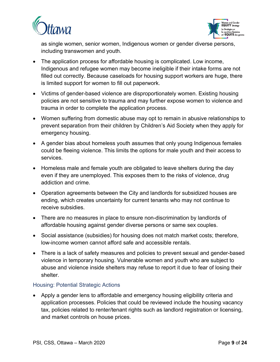



as single women, senior women, Indigenous women or gender diverse persons, including transwomen and youth.

- The application process for affordable housing is complicated. Low income, Indigenous and refugee women may become ineligible if their intake forms are not filled out correctly. Because caseloads for housing support workers are huge, there is limited support for women to fill out paperwork.
- Victims of gender-based violence are disproportionately women. Existing housing policies are not sensitive to trauma and may further expose women to violence and trauma in order to complete the application process.
- Women suffering from domestic abuse may opt to remain in abusive relationships to prevent separation from their children by Children's Aid Society when they apply for emergency housing.
- A gender bias about homeless youth assumes that only young Indigenous females could be fleeing violence. This limits the options for male youth and their access to services.
- Homeless male and female youth are obligated to leave shelters during the day even if they are unemployed. This exposes them to the risks of violence, drug addiction and crime.
- Operation agreements between the City and landlords for subsidized houses are ending, which creates uncertainty for current tenants who may not continue to receive subsidies.
- There are no measures in place to ensure non-discrimination by landlords of affordable housing against gender diverse persons or same sex couples.
- Social assistance (subsidies) for housing does not match market costs; therefore, low-income women cannot afford safe and accessible rentals.
- There is a lack of safety measures and policies to prevent sexual and gender-based violence in temporary housing. Vulnerable women and youth who are subject to abuse and violence inside shelters may refuse to report it due to fear of losing their shelter.

## <span id="page-9-0"></span>Housing: Potential Strategic Actions

• Apply a gender lens to affordable and emergency housing eligibility criteria and application processes. Policies that could be reviewed include the housing vacancy tax, policies related to renter/tenant rights such as landlord registration or licensing, and market controls on house prices.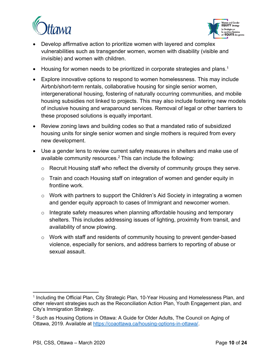



- Develop affirmative action to prioritize women with layered and complex vulnerabilities such as transgender women, women with disability (visible and invisible) and women with children.
- $\bullet$  Housing for women needs to be prioritized in corporate strategies and plans.<sup>1</sup>
- Explore innovative options to respond to women homelessness. This may include Airbnb/short-term rentals, collaborative housing for single senior women, intergenerational housing, fostering of naturally occurring communities, and mobile housing subsidies not linked to projects. This may also include fostering new models of inclusive housing and wraparound services. Removal of legal or other barriers to these proposed solutions is equally important.
- Review zoning laws and building codes so that a mandated ratio of subsidized housing units for single senior women and single mothers is required from every new development.
- Use a gender lens to review current safety measures in shelters and make use of available community resources.<sup>2</sup> This can include the following:
	- o Recruit Housing staff who reflect the diversity of community groups they serve.
	- o Train and coach Housing staff on integration of women and gender equity in frontline work.
	- $\circ$  Work with partners to support the Children's Aid Society in integrating a women and gender equity approach to cases of Immigrant and newcomer women.
	- $\circ$  Integrate safety measures when planning affordable housing and temporary shelters. This includes addressing issues of lighting, proximity from transit, and availability of snow plowing.
	- o Work with staff and residents of community housing to prevent gender-based violence, especially for seniors, and address barriers to reporting of abuse or sexual assault.

<sup>&</sup>lt;sup>1</sup> Including the Official Plan, City Strategic Plan, 10-Year Housing and Homelessness Plan, and other relevant strategies such as the Reconciliation Action Plan, Youth Engagement plan, and City's Immigration Strategy.

 $^2$  Such as Housing Options in Ottawa: A Guide for Older Adults, The Council on Aging of Ottawa, 2019. Available at [https://coaottawa.ca/housing-options-in-ottawa/.](https://coaottawa.ca/housing-options-in-ottawa/)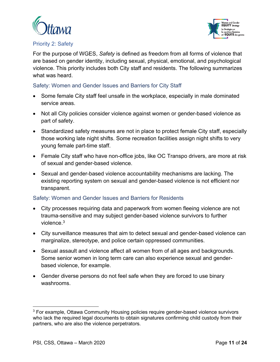



## <span id="page-11-0"></span>Priority 2: Safety

For the purpose of WGES, *Safety* is defined as freedom from all forms of violence that are based on gender identity, including sexual, physical, emotional, and psychological violence. This priority includes both City staff and residents. The following summarizes what was heard.

## <span id="page-11-1"></span>Safety: Women and Gender Issues and Barriers for City Staff

- Some female City staff feel unsafe in the workplace, especially in male dominated service areas.
- Not all City policies consider violence against women or gender-based violence as part of safety.
- Standardized safety measures are not in place to protect female City staff, especially those working late night shifts. Some recreation facilities assign night shifts to very young female part-time staff.
- Female City staff who have non-office jobs, like OC Transpo drivers, are more at risk of sexual and gender-based violence.
- Sexual and gender-based violence accountability mechanisms are lacking. The existing reporting system on sexual and gender-based violence is not efficient nor transparent.

#### <span id="page-11-2"></span>Safety: Women and Gender Issues and Barriers for Residents

- City processes requiring data and paperwork from women fleeing violence are not trauma-sensitive and may subject gender-based violence survivors to further violence. $^3$
- City surveillance measures that aim to detect sexual and gender-based violence can marginalize, stereotype, and police certain oppressed communities.
- Sexual assault and violence affect all women from of all ages and backgrounds. Some senior women in long term care can also experience sexual and genderbased violence, for example.
- Gender diverse persons do not feel safe when they are forced to use binary washrooms.

 $3$  For example, Ottawa Community Housing policies require gender-based violence survivors who lack the required legal documents to obtain signatures confirming child custody from their partners, who are also the violence perpetrators.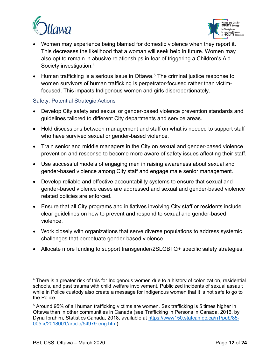



- Women may experience being blamed for domestic violence when they report it. This decreases the likelihood that a woman will seek help in future. Women may also opt to remain in abusive relationships in fear of triggering a Children's Aid Society investigation.<sup>4</sup>
- $\bullet$  Human trafficking is a serious issue in Ottawa.<sup>5</sup> The criminal justice response to women survivors of human trafficking is perpetrator-focused rather than victimfocused. This impacts Indigenous women and girls disproportionately.

## <span id="page-12-0"></span>Safety: Potential Strategic Actions

- Develop City safety and sexual or gender-based violence prevention standards and guidelines tailored to different City departments and service areas.
- Hold discussions between management and staff on what is needed to support staff who have survived sexual or gender-based violence.
- Train senior and middle managers in the City on sexual and gender-based violence prevention and response to become more aware of safety issues affecting their staff.
- Use successful models of engaging men in raising awareness about sexual and gender-based violence among City staff and engage male senior management.
- Develop reliable and effective accountability systems to ensure that sexual and gender-based violence cases are addressed and sexual and gender-based violence related policies are enforced.
- Ensure that all City programs and initiatives involving City staff or residents include clear guidelines on how to prevent and respond to sexual and gender-based violence.
- Work closely with organizations that serve diverse populations to address systemic challenges that perpetuate gender-based violence.
- Allocate more funding to support transgender/2SLGBTQ+ specific safety strategies.

 $^{\text{4}}$  There is a greater risk of this for Indigenous women due to a history of colonization, residential schools, and past trauma with child welfare involvement. Publicized incidents of sexual assault while in Police custody also create a message for Indigenous women that it is not safe to go to the Police.

 $^5$  Around 95% of all human trafficking victims are women. Sex trafficking is 5 times higher in  $\,$ Ottawa than in other communities in Canada (see Trafficking in Persons in Canada, 2016, by Dyna Ibrahim, Statistics Canada, 2018, available at [https://www150.statcan.gc.ca/n1/pub/85-](https://www150.statcan.gc.ca/n1/pub/85-005-x/2018001/article/54979-eng.htm) [005-x/2018001/article/54979-eng.htm\)](https://www150.statcan.gc.ca/n1/pub/85-005-x/2018001/article/54979-eng.htm).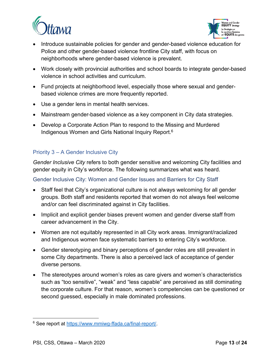



- Introduce sustainable policies for gender and gender-based violence education for Police and other gender-based violence frontline City staff, with focus on neighborhoods where gender-based violence is prevalent.
- Work closely with provincial authorities and school boards to integrate gender-based violence in school activities and curriculum.
- Fund projects at neighborhood level, especially those where sexual and genderbased violence crimes are more frequently reported.
- Use a gender lens in mental health services.
- Mainstream gender-based violence as a key component in City data strategies.
- Develop a Corporate Action Plan to respond to the Missing and Murdered Indigenous Women and Girls National Inquiry Report.<sup>6</sup>

## <span id="page-13-0"></span>Priority 3 – A Gender Inclusive City

*Gender Inclusive City* refers to both gender sensitive and welcoming City facilities and gender equity in City's workforce. The following summarizes what was heard.

#### <span id="page-13-1"></span>Gender Inclusive City: Women and Gender Issues and Barriers for City Staff

- Staff feel that City's organizational culture is not always welcoming for all gender groups. Both staff and residents reported that women do not always feel welcome and/or can feel discriminated against in City facilities.
- Implicit and explicit gender biases prevent women and gender diverse staff from career advancement in the City.
- Women are not equitably represented in all City work areas. Immigrant/racialized and Indigenous women face systematic barriers to entering City's workforce.
- Gender stereotyping and binary perceptions of gender roles are still prevalent in some City departments. There is also a perceived lack of acceptance of gender diverse persons.
- The stereotypes around women's roles as care givers and women's characteristics such as "too sensitive", "weak" and "less capable" are perceived as still dominating the corporate culture. For that reason, women's competencies can be questioned or second guessed, especially in male dominated professions.

<sup>&</sup>lt;sup>6</sup> See report at <u>https://www.mmiwg-ffada.ca/final-report/</u>.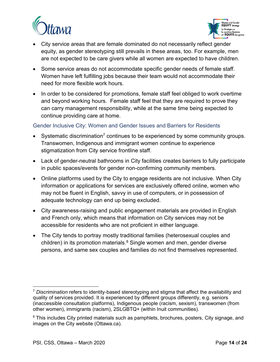



- City service areas that are female dominated do not necessarily reflect gender equity, as gender stereotyping still prevails in these areas, too. For example, men are not expected to be care givers while all women are expected to have children.
- Some service areas do not accommodate specific gender needs of female staff. Women have left fulfilling jobs because their team would not accommodate their need for more flexible work hours.
- In order to be considered for promotions, female staff feel obliged to work overtime and beyond working hours. Female staff feel that they are required to prove they can carry management responsibility, while at the same time being expected to continue providing care at home.

## <span id="page-14-0"></span>Gender Inclusive City: Women and Gender Issues and Barriers for Residents

- Systematic discrimination<sup>7</sup> continues to be experienced by some community groups. Transwomen, Indigenous and immigrant women continue to experience stigmatization from City service frontline staff.
- Lack of gender-neutral bathrooms in City facilities creates barriers to fully participate in public spaces/events for gender non-confirming community members.
- Online platforms used by the City to engage residents are not inclusive. When City information or applications for services are exclusively offered online, women who may not be fluent in English, savvy in use of computers, or in possession of adequate technology can end up being excluded.
- City awareness-raising and public engagement materials are provided in English and French only, which means that information on City services may not be accessible for residents who are not proficient in either language.
- The City tends to portray mostly traditional families (heterosexual couples and children) in its promotion materials. $^8$  Single women and men, gender diverse persons, and same sex couples and families do not find themselves represented.

<sup>7</sup> *Discrimination* refers to identity-based stereotyping and stigma that affect the availability and quality of services provided. It is experienced by different groups differently, e.g. seniors (inaccessible consultation platforms), Indigenous people (racism, sexism), transwomen (from other women), immigrants (racism), 2SLGBTQ+ (within Inuit communities).

 $^{\rm 8}$  This includes City printed materials such as pamphlets, brochures, posters, City signage, and images on the City website (Ottawa.ca).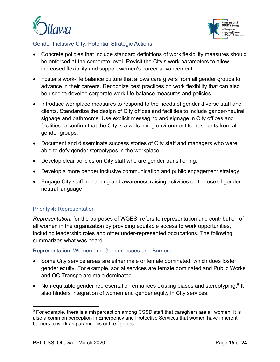



## <span id="page-15-0"></span>Gender Inclusive City: Potential Strategic Actions

- Concrete policies that include standard definitions of work flexibility measures should be enforced at the corporate level. Revisit the City's work parameters to allow increased flexibility and support women's career advancement.
- Foster a work-life balance culture that allows care givers from all gender groups to advance in their careers. Recognize best practices on work flexibility that can also be used to develop corporate work-life balance measures and policies.
- Introduce workplace measures to respond to the needs of gender diverse staff and clients. Standardize the design of City offices and facilities to include gander-neutral signage and bathrooms. Use explicit messaging and signage in City offices and facilities to confirm that the City is a welcoming environment for residents from all gender groups.
- Document and disseminate success stories of City staff and managers who were able to defy gender stereotypes in the workplace.
- Develop clear policies on City staff who are gender transitioning.
- Develop a more gender inclusive communication and public engagement strategy.
- Engage City staff in learning and awareness raising activities on the use of genderneutral language.

## <span id="page-15-1"></span>Priority 4: Representation

*Representation*, for the purposes of WGES, refers to representation and contribution of all women in the organization by providing equitable access to work opportunities, including leadership roles and other under-represented occupations. The following summarizes what was heard.

#### <span id="page-15-2"></span>Representation: Women and Gender Issues and Barriers

- Some City service areas are either male or female dominated, which does foster gender equity. For example, social services are female dominated and Public Works and OC Transpo are male dominated.
- Non-equitable gender representation enhances existing biases and stereotyping.<sup>9</sup> It also hinders integration of women and gender equity in City services.

 $9$  For example, there is a misperception among CSSD staff that caregivers are all women. It is also a common perception in Emergency and Protective Services that women have inherent barriers to work as paramedics or fire fighters.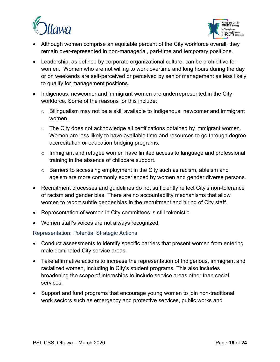



- Although women comprise an equitable percent of the City workforce overall, they remain over-represented in non-managerial, part-time and temporary positions.
- Leadership, as defined by corporate organizational culture, can be prohibitive for women. Women who are not willing to work overtime and long hours during the day or on weekends are self-perceived or perceived by senior management as less likely to qualify for management positions.
- Indigenous, newcomer and immigrant women are underrepresented in the City workforce. Some of the reasons for this include:
	- $\circ$  Bilingualism may not be a skill available to Indigenous, newcomer and immigrant women.
	- o The City does not acknowledge all certifications obtained by immigrant women. Women are less likely to have available time and resources to go through degree accreditation or education bridging programs.
	- o Immigrant and refugee women have limited access to language and professional training in the absence of childcare support.
	- $\circ$  Barriers to accessing employment in the City such as racism, ableism and ageism are more commonly experienced by women and gender diverse persons.
- Recruitment processes and guidelines do not sufficiently reflect City's non-tolerance of racism and gender bias. There are no accountability mechanisms that allow women to report subtle gender bias in the recruitment and hiring of City staff.
- Representation of women in City committees is still tokenistic.
- Women staff's voices are not always recognized.

<span id="page-16-0"></span>Representation: Potential Strategic Actions

- Conduct assessments to identify specific barriers that present women from entering male dominated City service areas.
- Take affirmative actions to increase the representation of Indigenous, immigrant and racialized women, including in City's student programs. This also includes broadening the scope of internships to include service areas other than social services.
- Support and fund programs that encourage young women to join non-traditional work sectors such as emergency and protective services, public works and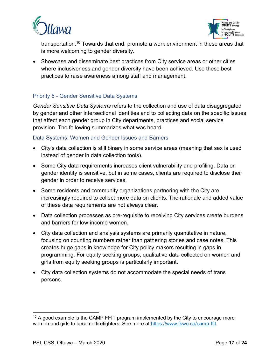



transportation.<sup>10</sup> Towards that end, promote a work environment in these areas that is more welcoming to gender diversity.

• Showcase and disseminate best practices from City service areas or other cities where inclusiveness and gender diversity have been achieved. Use these best practices to raise awareness among staff and management.

## <span id="page-17-0"></span>Priority 5 - Gender Sensitive Data Systems

*Gender Sensitive Data Systems* refers to the collection and use of data disaggregated by gender and other intersectional identities and to collecting data on the specific issues that affect each gender group in City departments, practices and social service provision. The following summarizes what was heard.

#### <span id="page-17-1"></span>Data Systems: Women and Gender Issues and Barriers

- City's data collection is still binary in some service areas (meaning that sex is used instead of gender in data collection tools).
- Some City data requirements increases client vulnerability and profiling. Data on gender identity is sensitive, but in some cases, clients are required to disclose their gender in order to receive services.
- Some residents and community organizations partnering with the City are increasingly required to collect more data on clients. The rationale and added value of these data requirements are not always clear.
- Data collection processes as pre-requisite to receiving City services create burdens and barriers for low-income women.
- City data collection and analysis systems are primarily quantitative in nature, focusing on counting numbers rather than gathering stories and case notes. This creates huge gaps in knowledge for City policy makers resulting in gaps in programming. For equity seeking groups, qualitative data collected on women and girls from equity seeking groups is particularly important.
- City data collection systems do not accommodate the special needs of trans persons.

 $10$  A good example is the CAMP FFIT program implemented by the City to encourage more women and girls to become firefighters. See more at [https://www.fswo.ca/camp-ffit.](https://www.fswo.ca/camp-ffit)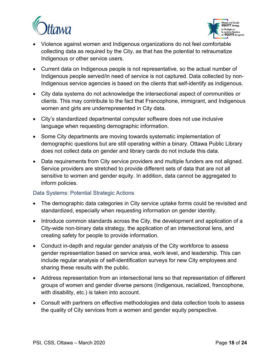



- Violence against women and Indigenous organizations do not feel comfortable collecting data as required by the City, as that has the potential to retraumatize Indigenous or other service users.
- Current data on Indigenous people is not representative, so the actual number of Indigenous people served/in need of service is not captured. Data collected by non-Indigenous service agencies is based on the clients that self-identify as indigenous.
- City data systems do not acknowledge the intersectional aspect of communities or clients. This may contribute to the fact that Francophone, immigrant, and Indigenous women and girls are underrepresented in City data.
- City's standardized departmental computer software does not use inclusive language when requesting demographic information.
- Some City departments are moving towards systematic implementation of demographic questions but are still operating within a binary. Ottawa Public Library does not collect data on gender and library cards do not include this data.
- Data requirements from City service providers and multiple funders are not aligned. Service providers are stretched to provide different sets of data that are not all sensitive to women and gender equity. In addition, data cannot be aggregated to inform policies.

#### <span id="page-18-0"></span>Data Systems: Potential Strategic Actions

- The demographic data categories in City service uptake forms could be revisited and standardized, especially when requesting information on gender identity.
- Introduce common standards across the City, the development and application of a City-wide non-binary data strategy, the application of an intersectional lens, and creating safety for people to provide information.
- Conduct in-depth and regular gender analysis of the City workforce to assess gender representation based on service area, work level, and leadership. This can include regular analysis of self-identification surveys for new City employees and sharing these results with the public.
- Address representation from an intersectional lens so that representation of different groups of women and gender diverse persons (Indigenous, racialized, francophone, with disability, etc.) is taken into account.
- Consult with partners on effective methodologies and data collection tools to assess the quality of City services from a women and gender equity perspective.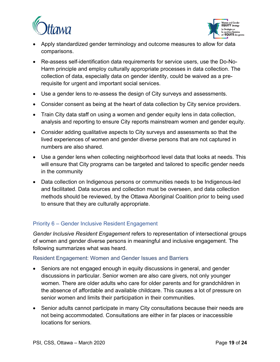



- Apply standardized gender terminology and outcome measures to allow for data comparisons.
- Re-assess self-identification data requirements for service users, use the Do-No-Harm principle and employ culturally appropriate processes in data collection. The collection of data, especially data on gender identity, could be waived as a prerequisite for urgent and important social services.
- Use a gender lens to re-assess the design of City surveys and assessments.
- Consider consent as being at the heart of data collection by City service providers.
- Train City data staff on using a women and gender equity lens in data collection, analysis and reporting to ensure City reports mainstream women and gender equity.
- Consider adding qualitative aspects to City surveys and assessments so that the lived experiences of women and gender diverse persons that are not captured in numbers are also shared.
- Use a gender lens when collecting neighborhood level data that looks at needs. This will ensure that City programs can be targeted and tailored to specific gender needs in the community
- Data collection on Indigenous persons or communities needs to be Indigenous-led and facilitated. Data sources and collection must be overseen, and data collection methods should be reviewed, by the Ottawa Aboriginal Coalition prior to being used to ensure that they are culturally appropriate.

# <span id="page-19-0"></span>Priority 6 – Gender Inclusive Resident Engagement

*Gender Inclusive Resident Engagement* refers to representation of intersectional groups of women and gender diverse persons in meaningful and inclusive engagement. The following summarizes what was heard.

#### <span id="page-19-1"></span>Resident Engagement: Women and Gender Issues and Barriers

- Seniors are not engaged enough in equity discussions in general, and gender discussions in particular. Senior women are also care givers, not only younger women. There are older adults who care for older parents and for grandchildren in the absence of affordable and available childcare. This causes a lot of pressure on senior women and limits their participation in their communities.
- Senior adults cannot participate in many City consultations because their needs are not being accommodated. Consultations are either in far places or inaccessible locations for seniors.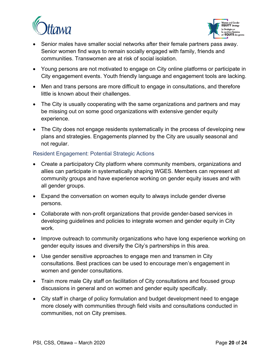



- Senior males have smaller social networks after their female partners pass away. Senior women find ways to remain socially engaged with family, friends and communities. Transwomen are at risk of social isolation.
- Young persons are not motivated to engage on City online platforms or participate in City engagement events. Youth friendly language and engagement tools are lacking.
- Men and trans persons are more difficult to engage in consultations, and therefore little is known about their challenges.
- The City is usually cooperating with the same organizations and partners and may be missing out on some good organizations with extensive gender equity experience.
- The City does not engage residents systematically in the process of developing new plans and strategies. Engagements planned by the City are usually seasonal and not regular.

## <span id="page-20-0"></span>Resident Engagement: Potential Strategic Actions

- Create a participatory City platform where community members, organizations and allies can participate in systematically shaping WGES. Members can represent all community groups and have experience working on gender equity issues and with all gender groups.
- Expand the conversation on women equity to always include gender diverse persons.
- Collaborate with non-profit organizations that provide gender-based services in developing guidelines and policies to integrate women and gender equity in City work.
- Improve outreach to community organizations who have long experience working on gender equity issues and diversify the City's partnerships in this area.
- Use gender sensitive approaches to engage men and transmen in City consultations. Best practices can be used to encourage men's engagement in women and gender consultations.
- Train more male City staff on facilitation of City consultations and focused group discussions in general and on women and gender equity specifically.
- City staff in charge of policy formulation and budget development need to engage more closely with communities through field visits and consultations conducted in communities, not on City premises.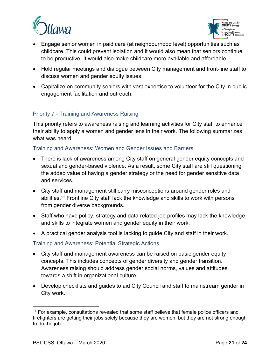



- Engage senior women in paid care (at neighbourhood level) opportunities such as childcare. This could prevent isolation and it would also mean that seniors continue to be productive. It would also make childcare more available and affordable.
- Hold regular meetings and dialogue between City management and front-line staff to discuss women and gender equity issues.
- Capitalize on community seniors with vast expertise to volunteer for the City in public engagement facilitation and outreach.

## <span id="page-21-0"></span>Priority 7 - Training and Awareness Raising

This priority refers to awareness raising and learning activities for City staff to enhance their ability to apply a women and gender lens in their work. The following summarizes what was heard.

## <span id="page-21-1"></span>Training and Awareness: Women and Gender Issues and Barriers

- There is lack of awareness among City staff on general gender equity concepts and sexual and gender-based violence. As a result, some City staff are still questioning the added value of having a gender strategy or the need for gender sensitive data and services.
- City staff and management still carry misconceptions around gender roles and abilities.<sup>11</sup> Frontline City staff lack the knowledge and skills to work with persons from gender diverse backgrounds.
- Staff who have policy, strategy and data related job profiles may lack the knowledge and skills to integrate women and gender equity in their work.
- A practical gender analysis tool is lacking to guide City and staff in their work.

#### <span id="page-21-2"></span>Training and Awareness: Potential Strategic Actions

- City staff and management awareness can be raised on basic gender equity concepts. This includes concepts of gender diversity and gender transition. Awareness raising should address gender social norms, values and attitudes towards a shift in organizational culture.
- Develop checklists and guides to aid City Council and staff to mainstream gender in City work.

 $11$  For example, consultations revealed that some staff believe that female police officers and firefighters are getting their jobs solely because they are women, but they are not strong enough to do the job.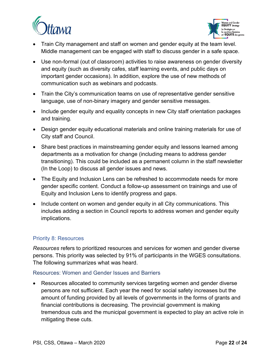



- Train City management and staff on women and gender equity at the team level. Middle management can be engaged with staff to discuss gender in a safe space.
- Use non-formal (out of classroom) activities to raise awareness on gender diversity and equity (such as diversity cafes, staff learning events, and public days on important gender occasions). In addition, explore the use of new methods of communication such as webinars and podcasts.
- Train the City's communication teams on use of representative gender sensitive language, use of non-binary imagery and gender sensitive messages.
- Include gender equity and equality concepts in new City staff orientation packages and training.
- Design gender equity educational materials and online training materials for use of City staff and Council.
- Share best practices in mainstreaming gender equity and lessons learned among departments as a motivation for change (including means to address gender transitioning). This could be included as a permanent column in the staff newsletter (In the Loop) to discuss all gender issues and news.
- The Equity and Inclusion Lens can be refreshed to accommodate needs for more gender specific content. Conduct a follow-up assessment on trainings and use of Equity and Inclusion Lens to identify progress and gaps.
- Include content on women and gender equity in all City communications. This includes adding a section in Council reports to address women and gender equity implications.

## <span id="page-22-0"></span>Priority 8: Resources

*Resources* refers to prioritized resources and services for women and gender diverse persons. This priority was selected by 91% of participants in the WGES consultations. The following summarizes what was heard.

#### <span id="page-22-1"></span>Resources: Women and Gender Issues and Barriers

• Resources allocated to community services targeting women and gender diverse persons are not sufficient. Each year the need for social safety increases but the amount of funding provided by all levels of governments in the forms of grants and financial contributions is decreasing. The provincial government is making tremendous cuts and the municipal government is expected to play an active role in mitigating these cuts.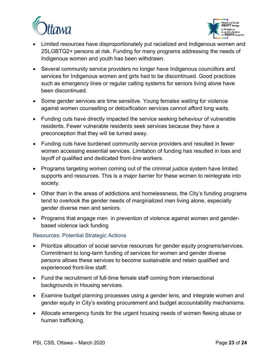



- Limited resources have disproportionately put racialized and Indigenous women and 2SLGBTQ2+ persons at risk. Funding for many programs addressing the needs of Indigenous women and youth has been withdrawn.
- Several community service providers no longer have Indigenous councillors and services for Indigenous women and girls had to be discontinued. Good practices such as emergency lines or regular calling systems for seniors living alone have been discontinued.
- Some gender services are time sensitive. Young females waiting for violence against women counselling or detoxification services cannot afford long waits.
- Funding cuts have directly impacted the service seeking behaviour of vulnerable residents. Fewer vulnerable residents seek services because they have a preconception that they will be turned away.
- Funding cuts have burdened community service providers and resulted in fewer women accessing essential services. Limitation of funding has resulted in loss and layoff of qualified and dedicated front-line workers.
- Programs targeting women coming out of the criminal justice system have limited supports and resources. This is a major barrier for these women to reintegrate into society.
- Other than in the areas of addictions and homelessness, the City's funding programs tend to overlook the gender needs of marginalized men living alone, especially gender diverse men and seniors.
- Programs that engage men in prevention of violence against women and genderbased violence lack funding

## <span id="page-23-0"></span>Resources: Potential Strategic Actions

- Prioritize allocation of social service resources for gender equity programs/services. Commitment to long-term funding of services for women and gender diverse persons allows these services to become sustainable and retain qualified and experienced front-line staff.
- Fund the recruitment of full-time female staff coming from intersectional backgrounds in Housing services.
- Examine budget planning processes using a gender lens, and integrate women and gender equity in City's existing procurement and budget accountability mechanisms.
- Allocate emergency funds for the urgent housing needs of women fleeing abuse or human trafficking.